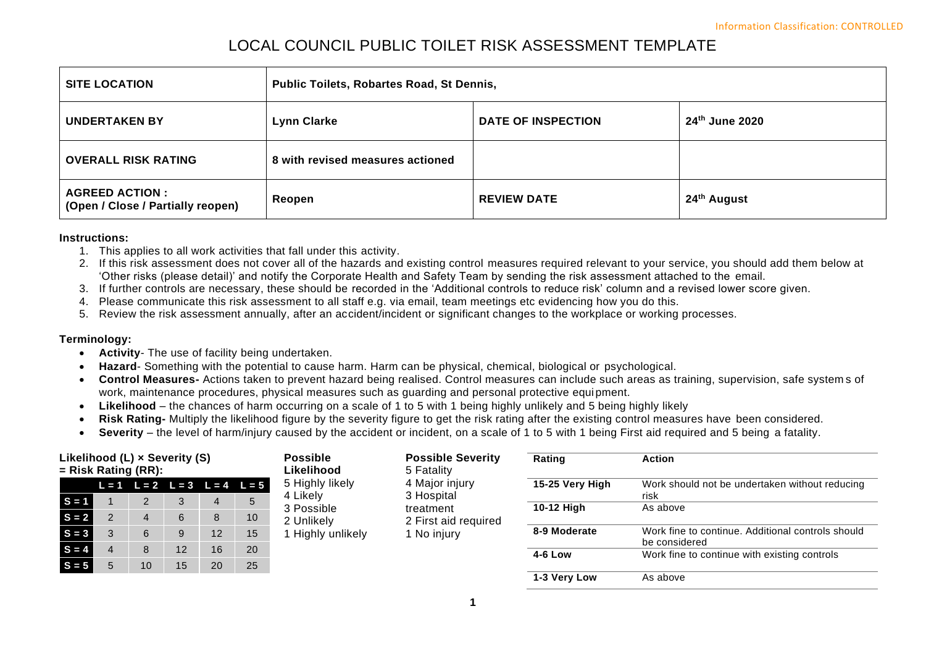# LOCAL COUNCIL PUBLIC TOILET RISK ASSESSMENT TEMPLATE

| <b>SITE LOCATION</b>                                        | Public Toilets, Robartes Road, St Dennis, |                           |                         |  |  |  |  |
|-------------------------------------------------------------|-------------------------------------------|---------------------------|-------------------------|--|--|--|--|
| <b>UNDERTAKEN BY</b>                                        | <b>Lynn Clarke</b>                        | <b>DATE OF INSPECTION</b> | 24th June 2020          |  |  |  |  |
| <b>OVERALL RISK RATING</b>                                  | 8 with revised measures actioned          |                           |                         |  |  |  |  |
| <b>AGREED ACTION :</b><br>(Open / Close / Partially reopen) | Reopen                                    | <b>REVIEW DATE</b>        | 24 <sup>th</sup> August |  |  |  |  |

#### **Instructions:**

- 1. This applies to all work activities that fall under this activity.
- 2. If this risk assessment does not cover all of the hazards and existing control measures required relevant to your service, you should add them below at 'Other risks (please detail)' and notify the Corporate Health and Safety Team by sending the risk assessment attached to the email.
- 3. If further controls are necessary, these should be recorded in the 'Additional controls to reduce risk' column and a revised lower score given.
- 4. Please communicate this risk assessment to all staff e.g. via email, team meetings etc evidencing how you do this.
- 5. Review the risk assessment annually, after an accident/incident or significant changes to the workplace or working processes.

### **Terminology:**

- **Activity** The use of facility being undertaken.
- **Hazard** Something with the potential to cause harm. Harm can be physical, chemical, biological or psychological.
- **Control Measures-** Actions taken to prevent hazard being realised. Control measures can include such areas as training, supervision, safe system s of work, maintenance procedures, physical measures such as guarding and personal protective equipment.
- **Likelihood**  the chances of harm occurring on a scale of 1 to 5 with 1 being highly unlikely and 5 being highly likely
- **Risk Rating-** Multiply the likelihood figure by the severity figure to get the risk rating after the existing control measures have been considered.
- **Severity** the level of harm/injury caused by the accident or incident, on a scale of 1 to 5 with 1 being First aid required and 5 being a fatality.

| Likelihood (L) x Severity (S)<br>$=$ Risk Rating (RR): |  | <b>Possible</b><br>Likelihood |    | <b>Possible Severity</b><br>5 Fatality | Rating                                  | <b>Action</b>               |                              |                 |                                                                    |
|--------------------------------------------------------|--|-------------------------------|----|----------------------------------------|-----------------------------------------|-----------------------------|------------------------------|-----------------|--------------------------------------------------------------------|
|                                                        |  |                               |    |                                        | $L = 1$ $L = 2$ $L = 3$ $L = 4$ $L = 5$ | 5 Highly likely<br>4 Likely | 4 Major injury<br>3 Hospital | 15-25 Very High | Work should not be undertaken without reducing<br>risk             |
| $S = 1$                                                |  | C.                            |    | 4                                      | 5                                       | 3 Possible                  | treatment                    | 10-12 High      | As above                                                           |
| $S = 2$                                                |  | 4                             | 6  | 8                                      | 10                                      | 2 Unlikely                  | 2 First aid required         |                 |                                                                    |
| $S = 3$                                                |  | 6                             |    | 12                                     | 15                                      | Highly unlikely             | 1 No injury                  | 8-9 Moderate    | Work fine to continue. Additional controls should<br>be considered |
| $S = 4$                                                |  | 8                             | 12 | 16                                     | 20                                      |                             |                              | 4-6 Low         | Work fine to continue with existing controls                       |
| $S = 5$                                                |  | 10                            | 15 | 20                                     | 25                                      |                             |                              |                 |                                                                    |
|                                                        |  |                               |    |                                        |                                         |                             |                              | 1-3 Very Low    | As above                                                           |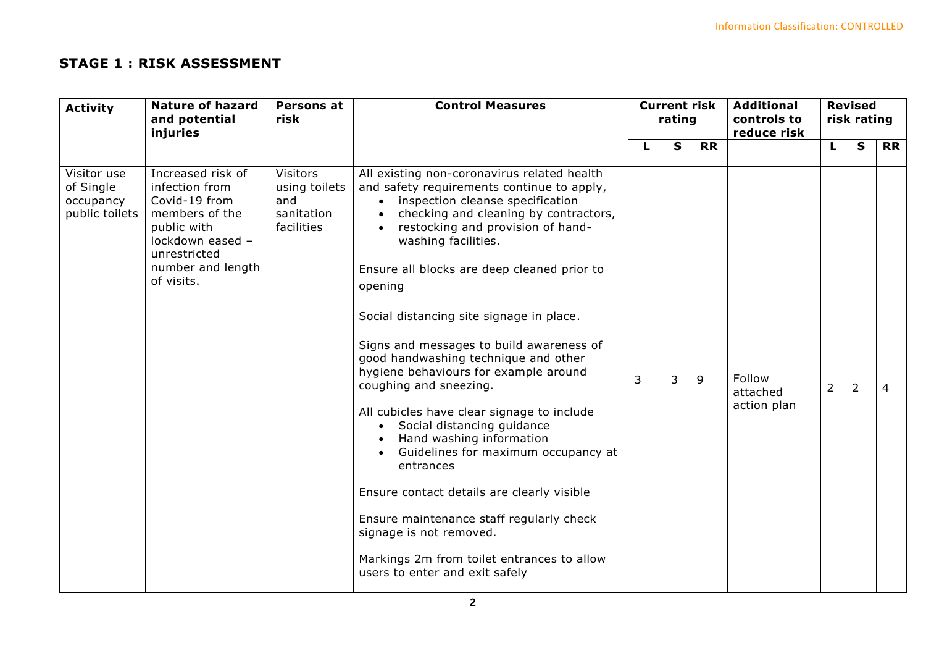## **STAGE 1 : RISK ASSESSMENT**

| <b>Activity</b>                                         | <b>Nature of hazard</b><br>and potential                                                                                                                     | Persons at<br>risk                                                  | <b>Control Measures</b>                                                                                                                                                                                                                                                                                                                                                                                                                                                                                                                                                                                                                                                                                                                                                                                                                                                           | <b>Current risk</b><br>rating |              |           | <b>Additional</b><br>controls to  |                | <b>Revised</b><br>risk rating |                |  |
|---------------------------------------------------------|--------------------------------------------------------------------------------------------------------------------------------------------------------------|---------------------------------------------------------------------|-----------------------------------------------------------------------------------------------------------------------------------------------------------------------------------------------------------------------------------------------------------------------------------------------------------------------------------------------------------------------------------------------------------------------------------------------------------------------------------------------------------------------------------------------------------------------------------------------------------------------------------------------------------------------------------------------------------------------------------------------------------------------------------------------------------------------------------------------------------------------------------|-------------------------------|--------------|-----------|-----------------------------------|----------------|-------------------------------|----------------|--|
|                                                         | injuries                                                                                                                                                     |                                                                     |                                                                                                                                                                                                                                                                                                                                                                                                                                                                                                                                                                                                                                                                                                                                                                                                                                                                                   |                               |              |           | reduce risk                       |                |                               |                |  |
|                                                         |                                                                                                                                                              |                                                                     |                                                                                                                                                                                                                                                                                                                                                                                                                                                                                                                                                                                                                                                                                                                                                                                                                                                                                   |                               | $\mathbf{s}$ | <b>RR</b> |                                   | L              | $\mathbf{s}$                  | <b>RR</b>      |  |
| Visitor use<br>of Single<br>occupancy<br>public toilets | Increased risk of<br>infection from<br>Covid-19 from<br>members of the<br>public with<br>lockdown eased -<br>unrestricted<br>number and length<br>of visits. | <b>Visitors</b><br>using toilets<br>and<br>sanitation<br>facilities | All existing non-coronavirus related health<br>and safety requirements continue to apply,<br>• inspection cleanse specification<br>checking and cleaning by contractors,<br>• restocking and provision of hand-<br>washing facilities.<br>Ensure all blocks are deep cleaned prior to<br>opening<br>Social distancing site signage in place.<br>Signs and messages to build awareness of<br>good handwashing technique and other<br>hygiene behaviours for example around<br>coughing and sneezing.<br>All cubicles have clear signage to include<br>Social distancing guidance<br>$\bullet$<br>Hand washing information<br>Guidelines for maximum occupancy at<br>entrances<br>Ensure contact details are clearly visible<br>Ensure maintenance staff regularly check<br>signage is not removed.<br>Markings 2m from toilet entrances to allow<br>users to enter and exit safely | 3                             | 3            | 9         | Follow<br>attached<br>action plan | $\overline{2}$ | $\overline{2}$                | $\overline{4}$ |  |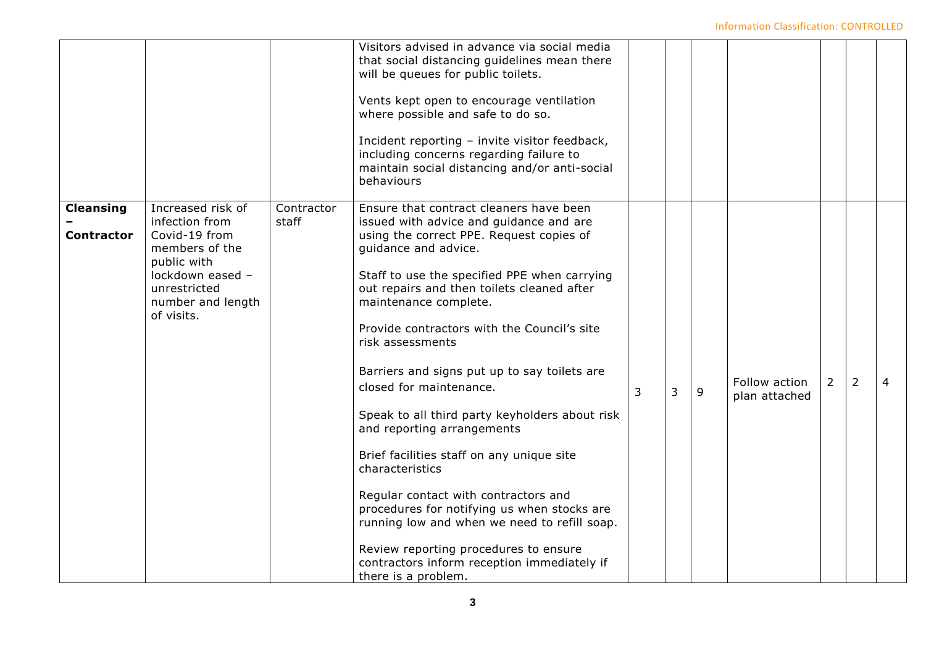### Information Classification: CONTROLLED

|                                       |                                                                                                                                                              |                     | Visitors advised in advance via social media<br>that social distancing guidelines mean there<br>will be queues for public toilets.<br>Vents kept open to encourage ventilation<br>where possible and safe to do so.<br>Incident reporting - invite visitor feedback,<br>including concerns regarding failure to<br>maintain social distancing and/or anti-social<br>behaviours                                                                                                                                                                                                                                                                                                                                                                                                                                                    |   |   |   |                                |                |                |   |
|---------------------------------------|--------------------------------------------------------------------------------------------------------------------------------------------------------------|---------------------|-----------------------------------------------------------------------------------------------------------------------------------------------------------------------------------------------------------------------------------------------------------------------------------------------------------------------------------------------------------------------------------------------------------------------------------------------------------------------------------------------------------------------------------------------------------------------------------------------------------------------------------------------------------------------------------------------------------------------------------------------------------------------------------------------------------------------------------|---|---|---|--------------------------------|----------------|----------------|---|
| <b>Cleansing</b><br><b>Contractor</b> | Increased risk of<br>infection from<br>Covid-19 from<br>members of the<br>public with<br>lockdown eased -<br>unrestricted<br>number and length<br>of visits. | Contractor<br>staff | Ensure that contract cleaners have been<br>issued with advice and guidance and are<br>using the correct PPE. Request copies of<br>guidance and advice.<br>Staff to use the specified PPE when carrying<br>out repairs and then toilets cleaned after<br>maintenance complete.<br>Provide contractors with the Council's site<br>risk assessments<br>Barriers and signs put up to say toilets are<br>closed for maintenance.<br>Speak to all third party keyholders about risk<br>and reporting arrangements<br>Brief facilities staff on any unique site<br>characteristics<br>Regular contact with contractors and<br>procedures for notifying us when stocks are<br>running low and when we need to refill soap.<br>Review reporting procedures to ensure<br>contractors inform reception immediately if<br>there is a problem. | 3 | 3 | 9 | Follow action<br>plan attached | $\overline{2}$ | $\overline{2}$ | 4 |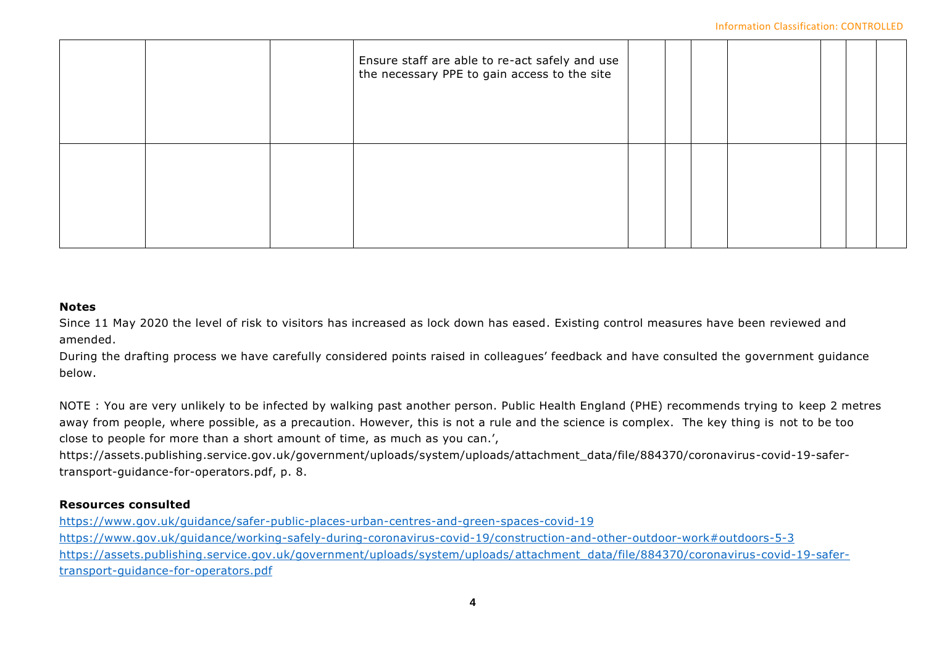#### Information Classification: CONTROLLED

|  | Ensure staff are able to re-act safely and use<br>the necessary PPE to gain access to the site |  |  |  |  |
|--|------------------------------------------------------------------------------------------------|--|--|--|--|
|  |                                                                                                |  |  |  |  |

## **Notes**

Since 11 May 2020 the level of risk to visitors has increased as lock down has eased. Existing control measures have been reviewed and amended.

During the drafting process we have carefully considered points raised in colleagues' feedback and have consulted the government guidance below.

NOTE : You are very unlikely to be infected by walking past another person. Public Health England (PHE) recommends trying to keep 2 metres away from people, where possible, as a precaution. However, this is not a rule and the science is complex. The key thing is not to be too close to people for more than a short amount of time, as much as you can.',

https://assets.publishing.service.gov.uk/government/uploads/system/uploads/attachment\_data/file/884370/coronavirus-covid-19-safertransport-guidance-for-operators.pdf, p. 8.

## **Resources consulted**

<https://www.gov.uk/guidance/safer-public-places-urban-centres-and-green-spaces-covid-19> <https://www.gov.uk/guidance/working-safely-during-coronavirus-covid-19/construction-and-other-outdoor-work#outdoors-5-3> [https://assets.publishing.service.gov.uk/government/uploads/system/uploads/attachment\\_data/file/884370/coronavirus-covid-19-safer](https://assets.publishing.service.gov.uk/government/uploads/system/uploads/attachment_data/file/884370/coronavirus-covid-19-safer-transport-guidance-for-operators.pdf)[transport-guidance-for-operators.pdf](https://assets.publishing.service.gov.uk/government/uploads/system/uploads/attachment_data/file/884370/coronavirus-covid-19-safer-transport-guidance-for-operators.pdf)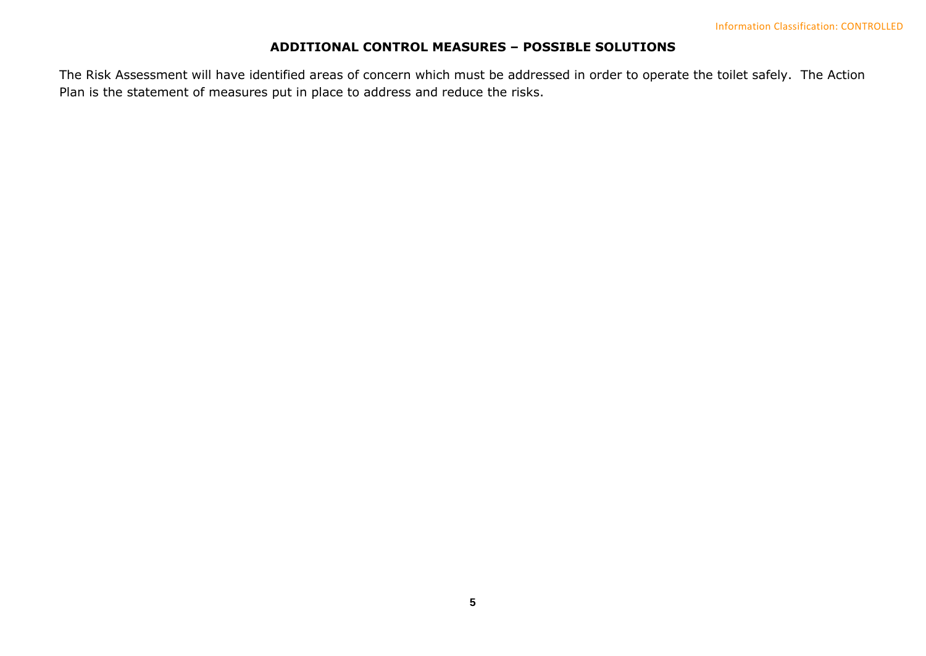## **ADDITIONAL CONTROL MEASURES – POSSIBLE SOLUTIONS**

The Risk Assessment will have identified areas of concern which must be addressed in order to operate the toilet safely. The Action Plan is the statement of measures put in place to address and reduce the risks.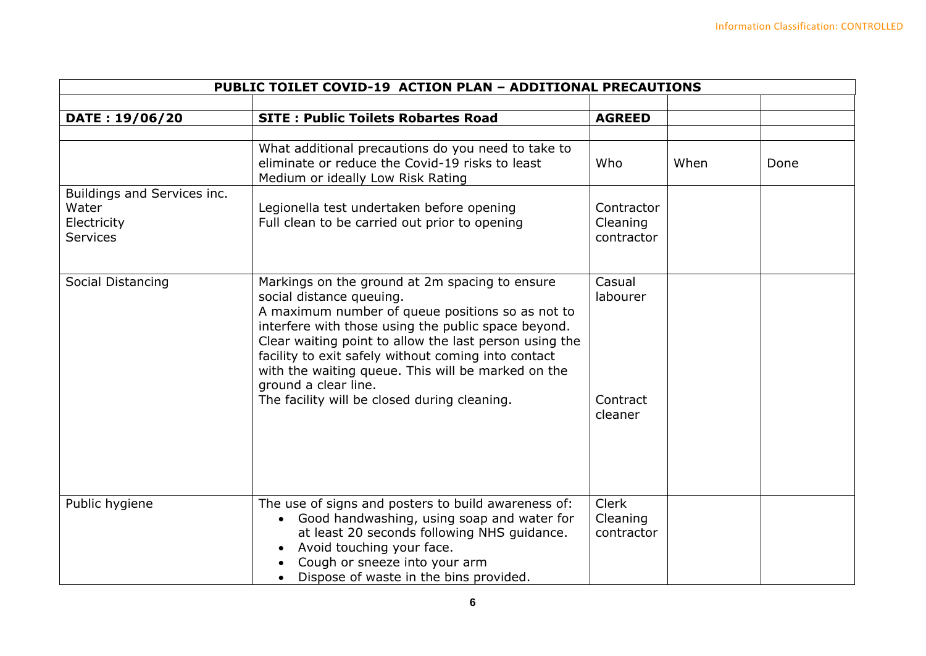| PUBLIC TOILET COVID-19 ACTION PLAN - ADDITIONAL PRECAUTIONS            |                                                                                                                                                                                                                                                                                                                                                                                                                                      |                                           |      |      |  |  |
|------------------------------------------------------------------------|--------------------------------------------------------------------------------------------------------------------------------------------------------------------------------------------------------------------------------------------------------------------------------------------------------------------------------------------------------------------------------------------------------------------------------------|-------------------------------------------|------|------|--|--|
| DATE: 19/06/20                                                         | <b>SITE: Public Toilets Robartes Road</b>                                                                                                                                                                                                                                                                                                                                                                                            | <b>AGREED</b>                             |      |      |  |  |
|                                                                        | What additional precautions do you need to take to<br>eliminate or reduce the Covid-19 risks to least<br>Medium or ideally Low Risk Rating                                                                                                                                                                                                                                                                                           | Who                                       | When | Done |  |  |
| Buildings and Services inc.<br>Water<br>Electricity<br><b>Services</b> | Legionella test undertaken before opening<br>Full clean to be carried out prior to opening                                                                                                                                                                                                                                                                                                                                           | Contractor<br>Cleaning<br>contractor      |      |      |  |  |
| Social Distancing                                                      | Markings on the ground at 2m spacing to ensure<br>social distance queuing.<br>A maximum number of queue positions so as not to<br>interfere with those using the public space beyond.<br>Clear waiting point to allow the last person using the<br>facility to exit safely without coming into contact<br>with the waiting queue. This will be marked on the<br>ground a clear line.<br>The facility will be closed during cleaning. | Casual<br>labourer<br>Contract<br>cleaner |      |      |  |  |
| Public hygiene                                                         | The use of signs and posters to build awareness of:<br>Good handwashing, using soap and water for<br>at least 20 seconds following NHS guidance.<br>Avoid touching your face.<br>Cough or sneeze into your arm<br>Dispose of waste in the bins provided.                                                                                                                                                                             | <b>Clerk</b><br>Cleaning<br>contractor    |      |      |  |  |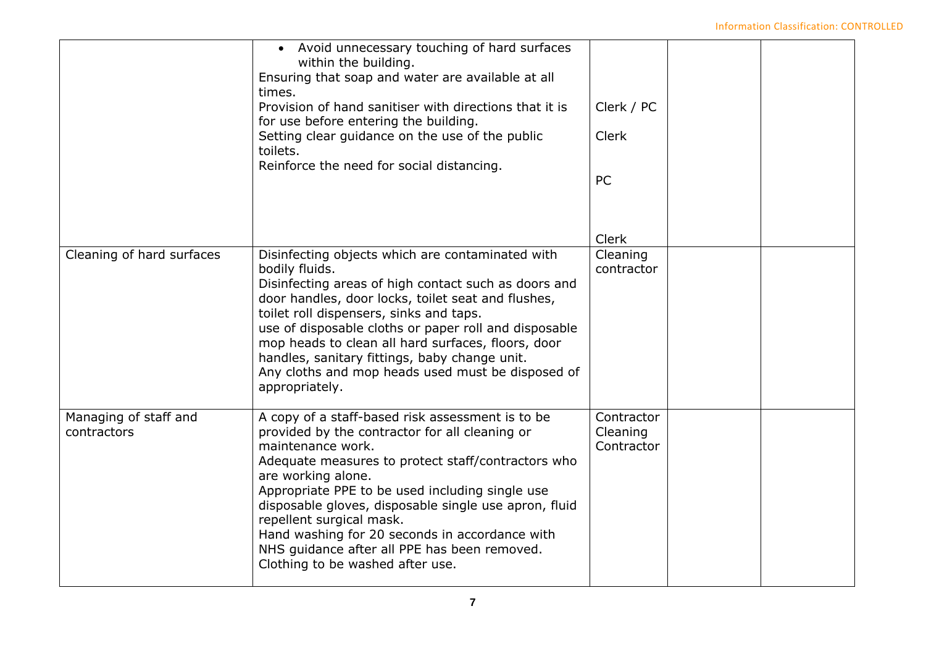|                                      | Avoid unnecessary touching of hard surfaces<br>$\bullet$<br>within the building.<br>Ensuring that soap and water are available at all<br>times.<br>Provision of hand sanitiser with directions that it is<br>for use before entering the building.<br>Setting clear guidance on the use of the public<br>toilets.<br>Reinforce the need for social distancing.                                                                                                                    | Clerk / PC<br><b>Clerk</b><br>PC       |  |
|--------------------------------------|-----------------------------------------------------------------------------------------------------------------------------------------------------------------------------------------------------------------------------------------------------------------------------------------------------------------------------------------------------------------------------------------------------------------------------------------------------------------------------------|----------------------------------------|--|
| Cleaning of hard surfaces            | Disinfecting objects which are contaminated with<br>bodily fluids.<br>Disinfecting areas of high contact such as doors and<br>door handles, door locks, toilet seat and flushes,<br>toilet roll dispensers, sinks and taps.<br>use of disposable cloths or paper roll and disposable<br>mop heads to clean all hard surfaces, floors, door<br>handles, sanitary fittings, baby change unit.<br>Any cloths and mop heads used must be disposed of<br>appropriately.                | <b>Clerk</b><br>Cleaning<br>contractor |  |
| Managing of staff and<br>contractors | A copy of a staff-based risk assessment is to be<br>provided by the contractor for all cleaning or<br>maintenance work.<br>Adequate measures to protect staff/contractors who<br>are working alone.<br>Appropriate PPE to be used including single use<br>disposable gloves, disposable single use apron, fluid<br>repellent surgical mask.<br>Hand washing for 20 seconds in accordance with<br>NHS guidance after all PPE has been removed.<br>Clothing to be washed after use. | Contractor<br>Cleaning<br>Contractor   |  |